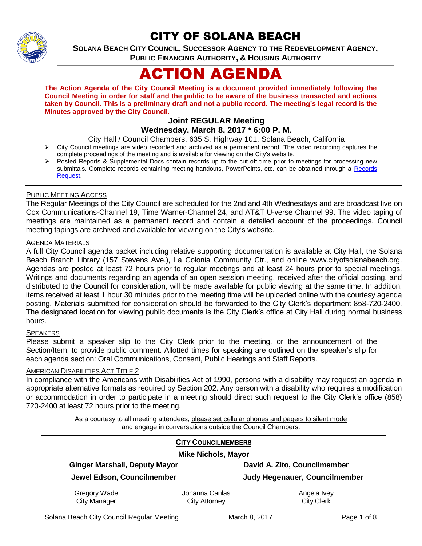

## CITY OF SOLANA BEACH

**SOLANA BEACH CITY COUNCIL, SUCCESSOR AGENCY TO THE REDEVELOPMENT AGENCY, PUBLIC FINANCING AUTHORITY, & HOUSING AUTHORITY** 

# ACTION AGENDA

**The Action Agenda of the City Council Meeting is a document provided immediately following the Council Meeting in order for staff and the public to be aware of the business transacted and actions taken by Council. This is a preliminary draft and not a public record. The meeting's legal record is the Minutes approved by the City Council.**

#### **Joint REGULAR Meeting Wednesday, March 8, 2017 \* 6:00 P. M.**

City Hall / Council Chambers, 635 S. Highway 101, Solana Beach, California

- $\triangleright$  City Council meetings are video recorded and archived as a permanent record. The video recording captures the complete proceedings of the meeting and is available for viewing on the City's website.
- Posted Reports & Supplemental Docs contain records up to the cut off time prior to meetings for processing new submittals. Complete records containing meeting handouts, PowerPoints, etc. can be obtained through a Records [Request.](http://www.ci.solana-beach.ca.us/index.asp?SEC=F5D45D10-70CE-4291-A27C-7BD633FC6742&Type=B_BASIC)

#### PUBLIC MEETING ACCESS

The Regular Meetings of the City Council are scheduled for the 2nd and 4th Wednesdays and are broadcast live on Cox Communications-Channel 19, Time Warner-Channel 24, and AT&T U-verse Channel 99. The video taping of meetings are maintained as a permanent record and contain a detailed account of the proceedings. Council meeting tapings are archived and available for viewing on the City's website.

#### AGENDA MATERIALS

A full City Council agenda packet including relative supporting documentation is available at City Hall, the Solana Beach Branch Library (157 Stevens Ave.), La Colonia Community Ctr., and online www.cityofsolanabeach.org. Agendas are posted at least 72 hours prior to regular meetings and at least 24 hours prior to special meetings. Writings and documents regarding an agenda of an open session meeting, received after the official posting, and distributed to the Council for consideration, will be made available for public viewing at the same time. In addition, items received at least 1 hour 30 minutes prior to the meeting time will be uploaded online with the courtesy agenda posting. Materials submitted for consideration should be forwarded to the City Clerk's department 858-720-2400. The designated location for viewing public documents is the City Clerk's office at City Hall during normal business hours.

#### **SPEAKERS**

Please submit a speaker slip to the City Clerk prior to the meeting, or the announcement of the Section/Item, to provide public comment. Allotted times for speaking are outlined on the speaker's slip for each agenda section: Oral Communications, Consent, Public Hearings and Staff Reports.

#### AMERICAN DISABILITIES ACT TITLE 2

In compliance with the Americans with Disabilities Act of 1990, persons with a disability may request an agenda in appropriate alternative formats as required by Section 202. Any person with a disability who requires a modification or accommodation in order to participate in a meeting should direct such request to the City Clerk's office (858) 720-2400 at least 72 hours prior to the meeting.

> As a courtesy to all meeting attendees, please set cellular phones and pagers to silent mode and engage in conversations outside the Council Chambers.

| <b>CITY COUNCILMEMBERS</b><br><b>Mike Nichols, Mayor</b> |                                        |                                  |
|----------------------------------------------------------|----------------------------------------|----------------------------------|
| <b>Ginger Marshall, Deputy Mayor</b>                     |                                        | David A. Zito, Councilmember     |
| Jewel Edson, Councilmember                               |                                        | Judy Hegenauer, Councilmember    |
| Gregory Wade<br><b>City Manager</b>                      | Johanna Canlas<br><b>City Attorney</b> | Angela Ivey<br><b>City Clerk</b> |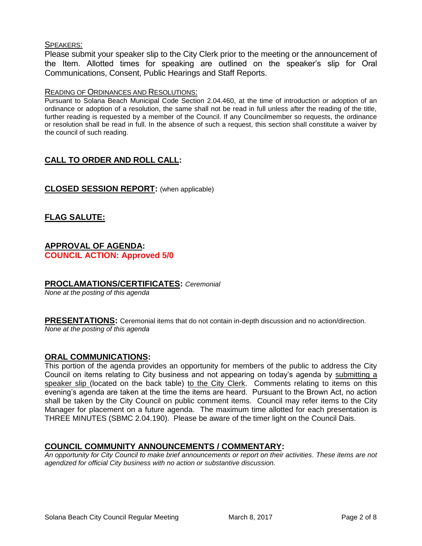#### SPEAKERS:

Please submit your speaker slip to the City Clerk prior to the meeting or the announcement of the Item. Allotted times for speaking are outlined on the speaker's slip for Oral Communications, Consent, Public Hearings and Staff Reports.

#### READING OF ORDINANCES AND RESOLUTIONS:

Pursuant to Solana Beach Municipal Code Section 2.04.460, at the time of introduction or adoption of an ordinance or adoption of a resolution, the same shall not be read in full unless after the reading of the title, further reading is requested by a member of the Council. If any Councilmember so requests, the ordinance or resolution shall be read in full. In the absence of such a request, this section shall constitute a waiver by the council of such reading.

## **CALL TO ORDER AND ROLL CALL:**

#### **CLOSED SESSION REPORT:** (when applicable)

## **FLAG SALUTE:**

#### **APPROVAL OF AGENDA: COUNCIL ACTION: Approved 5/0**

#### **PROCLAMATIONS/CERTIFICATES:** *Ceremonial*

*None at the posting of this agenda*

**PRESENTATIONS:** Ceremonial items that do not contain in-depth discussion and no action/direction. *None at the posting of this agenda*

#### **ORAL COMMUNICATIONS:**

This portion of the agenda provides an opportunity for members of the public to address the City Council on items relating to City business and not appearing on today's agenda by submitting a speaker slip (located on the back table) to the City Clerk. Comments relating to items on this evening's agenda are taken at the time the items are heard. Pursuant to the Brown Act, no action shall be taken by the City Council on public comment items. Council may refer items to the City Manager for placement on a future agenda. The maximum time allotted for each presentation is THREE MINUTES (SBMC 2.04.190). Please be aware of the timer light on the Council Dais.

## **COUNCIL COMMUNITY ANNOUNCEMENTS / COMMENTARY:**

*An opportunity for City Council to make brief announcements or report on their activities. These items are not agendized for official City business with no action or substantive discussion.*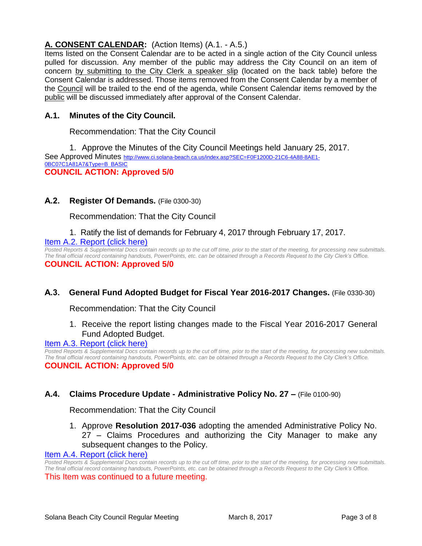## **A. CONSENT CALENDAR:** (Action Items) (A.1. - A.5.)

Items listed on the Consent Calendar are to be acted in a single action of the City Council unless pulled for discussion. Any member of the public may address the City Council on an item of concern by submitting to the City Clerk a speaker slip (located on the back table) before the Consent Calendar is addressed. Those items removed from the Consent Calendar by a member of the Council will be trailed to the end of the agenda, while Consent Calendar items removed by the public will be discussed immediately after approval of the Consent Calendar.

## **A.1. Minutes of the City Council.**

Recommendation: That the City Council

1. Approve the Minutes of the City Council Meetings held January 25, 2017. See Approved Minutes [http://www.ci.solana-beach.ca.us/index.asp?SEC=F0F1200D-21C6-4A88-8AE1-](http://www.ci.solana-beach.ca.us/index.asp?SEC=F0F1200D-21C6-4A88-8AE1-0BC07C1A81A7&Type=B_BASIC) [0BC07C1A81A7&Type=B\\_BASIC](http://www.ci.solana-beach.ca.us/index.asp?SEC=F0F1200D-21C6-4A88-8AE1-0BC07C1A81A7&Type=B_BASIC) **COUNCIL ACTION: Approved 5/0**

#### **A.2. Register Of Demands.** (File 0300-30)

Recommendation: That the City Council

## 1. Ratify the list of demands for February 4, 2017 through February 17, 2017. Item A.2. [Report \(click here\)](https://solanabeach.govoffice3.com/vertical/Sites/%7B840804C2-F869-4904-9AE3-720581350CE7%7D/uploads/Item_A.2._Report_(click_here)_3-8-17.PDF)

*Posted Reports & Supplemental Docs contain records up to the cut off time, prior to the start of the meeting, for processing new submittals. The final official record containing handouts, PowerPoints, etc. can be obtained through a Records Request to the City Clerk's Office.* **COUNCIL ACTION: Approved 5/0**

## **A.3. General Fund Adopted Budget for Fiscal Year 2016-2017 Changes.** (File 0330-30)

Recommendation: That the City Council

1. Receive the report listing changes made to the Fiscal Year 2016-2017 General Fund Adopted Budget.

#### [Item A.3. Report \(click here\)](https://solanabeach.govoffice3.com/vertical/Sites/%7B840804C2-F869-4904-9AE3-720581350CE7%7D/uploads/Item_A.3._Report_(click_here)_3-8-17.PDF)

*Posted Reports & Supplemental Docs contain records up to the cut off time, prior to the start of the meeting, for processing new submittals. The final official record containing handouts, PowerPoints, etc. can be obtained through a Records Request to the City Clerk's Office.* **COUNCIL ACTION: Approved 5/0**

## **A.4. Claims Procedure Update - Administrative Policy No. 27 –** (File 0100-90)

Recommendation: That the City Council

1. Approve **Resolution 2017-036** adopting the amended Administrative Policy No. 27 – Claims Procedures and authorizing the City Manager to make any subsequent changes to the Policy.

#### [Item A.4. Report \(click here\)](https://solanabeach.govoffice3.com/vertical/Sites/%7B840804C2-F869-4904-9AE3-720581350CE7%7D/uploads/Item_A.4._Report_(click_here)_3-8-17.PDF)

*Posted Reports & Supplemental Docs contain records up to the cut off time, prior to the start of the meeting, for processing new submittals. The final official record containing handouts, PowerPoints, etc. can be obtained through a Records Request to the City Clerk's Office.* This Item was continued to a future meeting.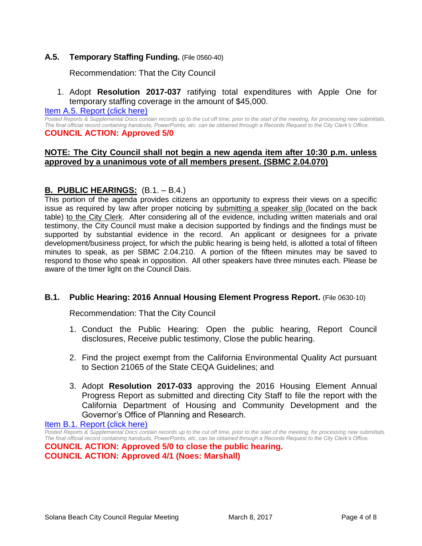#### **A.5. Temporary Staffing Funding.** (File 0560-40)

Recommendation: That the City Council

1. Adopt **Resolution 2017-037** ratifying total expenditures with Apple One for temporary staffing coverage in the amount of \$45,000.

#### Item A.5. [Report \(click here\)](https://solanabeach.govoffice3.com/vertical/Sites/%7B840804C2-F869-4904-9AE3-720581350CE7%7D/uploads/Item_A.5._Report_(click_here)_3-8-17.PDF)

*Posted Reports & Supplemental Docs contain records up to the cut off time, prior to the start of the meeting, for processing new submittals. The final official record containing handouts, PowerPoints, etc. can be obtained through a Records Request to the City Clerk's Office.* **COUNCIL ACTION: Approved 5/0**

#### **NOTE: The City Council shall not begin a new agenda item after 10:30 p.m. unless approved by a unanimous vote of all members present. (SBMC 2.04.070)**

## **B. PUBLIC HEARINGS:** (B.1. – B.4.)

This portion of the agenda provides citizens an opportunity to express their views on a specific issue as required by law after proper noticing by submitting a speaker slip (located on the back table) to the City Clerk. After considering all of the evidence, including written materials and oral testimony, the City Council must make a decision supported by findings and the findings must be supported by substantial evidence in the record. An applicant or designees for a private development/business project, for which the public hearing is being held, is allotted a total of fifteen minutes to speak, as per SBMC 2.04.210. A portion of the fifteen minutes may be saved to respond to those who speak in opposition. All other speakers have three minutes each. Please be aware of the timer light on the Council Dais.

#### **B.1. Public Hearing: 2016 Annual Housing Element Progress Report.** (File 0630-10)

Recommendation: That the City Council

- 1. Conduct the Public Hearing: Open the public hearing, Report Council disclosures, Receive public testimony, Close the public hearing.
- 2. Find the project exempt from the California Environmental Quality Act pursuant to Section 21065 of the State CEQA Guidelines; and
- 3. Adopt **Resolution 2017-033** approving the 2016 Housing Element Annual Progress Report as submitted and directing City Staff to file the report with the California Department of Housing and Community Development and the Governor's Office of Planning and Research.

[Item B.1. Report \(click here\)](https://solanabeach.govoffice3.com/vertical/Sites/%7B840804C2-F869-4904-9AE3-720581350CE7%7D/uploads/Item_B.1._Report_(click_here)_3-8-17.PDF)

*Posted Reports & Supplemental Docs contain records up to the cut off time, prior to the start of the meeting, for processing new submittals. The final official record containing handouts, PowerPoints, etc. can be obtained through a Records Request to the City Clerk's Office.* **COUNCIL ACTION: Approved 5/0 to close the public hearing.**

**COUNCIL ACTION: Approved 4/1 (Noes: Marshall)**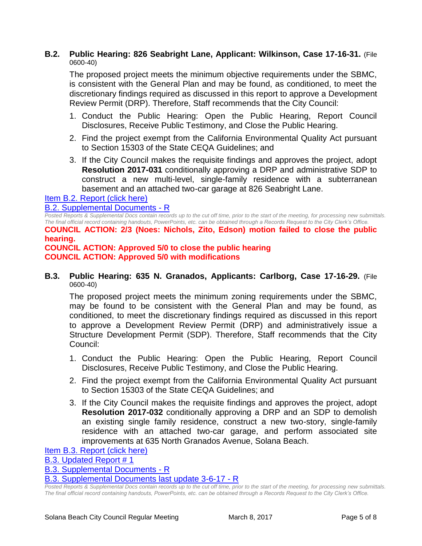#### **B.2. Public Hearing: 826 Seabright Lane, Applicant: Wilkinson, Case 17-16-31.** (File 0600-40)

The proposed project meets the minimum objective requirements under the SBMC, is consistent with the General Plan and may be found, as conditioned, to meet the discretionary findings required as discussed in this report to approve a Development Review Permit (DRP). Therefore, Staff recommends that the City Council:

- 1. Conduct the Public Hearing: Open the Public Hearing, Report Council Disclosures, Receive Public Testimony, and Close the Public Hearing.
- 2. Find the project exempt from the California Environmental Quality Act pursuant to Section 15303 of the State CEQA Guidelines; and
- 3. If the City Council makes the requisite findings and approves the project, adopt **Resolution 2017-031** conditionally approving a DRP and administrative SDP to construct a new multi-level, single-family residence with a subterranean basement and an attached two-car garage at 826 Seabright Lane.

[Item B.2. Report \(click here\)](https://solanabeach.govoffice3.com/vertical/Sites/%7B840804C2-F869-4904-9AE3-720581350CE7%7D/uploads/Item_B.2._Report_(click_here)_3-8-17.PDF)

[B.2. Supplemental Documents -](https://solanabeach.govoffice3.com/vertical/Sites/%7B840804C2-F869-4904-9AE3-720581350CE7%7D/uploads/B.2._Supplemental_Documents_-_R_3-8-17.pdf) R

*Posted Reports & Supplemental Docs contain records up to the cut off time, prior to the start of the meeting, for processing new submittals. The final official record containing handouts, PowerPoints, etc. can be obtained through a Records Request to the City Clerk's Office.* **COUNCIL ACTION: 2/3 (Noes: Nichols, Zito, Edson) motion failed to close the public hearing.**

**COUNCIL ACTION: Approved 5/0 to close the public hearing COUNCIL ACTION: Approved 5/0 with modifications**

**B.3. Public Hearing: 635 N. Granados, Applicants: Carlborg, Case 17-16-29.** (File 0600-40)

The proposed project meets the minimum zoning requirements under the SBMC, may be found to be consistent with the General Plan and may be found, as conditioned, to meet the discretionary findings required as discussed in this report to approve a Development Review Permit (DRP) and administratively issue a Structure Development Permit (SDP). Therefore, Staff recommends that the City Council:

- 1. Conduct the Public Hearing: Open the Public Hearing, Report Council Disclosures, Receive Public Testimony, and Close the Public Hearing.
- 2. Find the project exempt from the California Environmental Quality Act pursuant to Section 15303 of the State CEQA Guidelines; and
- 3. If the City Council makes the requisite findings and approves the project, adopt **Resolution 2017-032** conditionally approving a DRP and an SDP to demolish an existing single family residence, construct a new two-story, single-family residence with an attached two-car garage, and perform associated site improvements at 635 North Granados Avenue, Solana Beach.

[Item B.3. Report \(click here\)](https://solanabeach.govoffice3.com/vertical/Sites/%7B840804C2-F869-4904-9AE3-720581350CE7%7D/uploads/Item_B.3._Report_(click_here)_3-8-17.PDF)

[B.3. Updated Report # 1](https://solanabeach.govoffice3.com/vertical/Sites/%7B840804C2-F869-4904-9AE3-720581350CE7%7D/uploads/B.3._Updated_Report__1_-_3-8-17.pdf)

[B.3. Supplemental Documents -](https://solanabeach.govoffice3.com/vertical/Sites/%7B840804C2-F869-4904-9AE3-720581350CE7%7D/uploads/B.3._Supplemental_Documents_-_R_3-8-17.pdf) R

[B.3. Supplemental Documents last update 3-6-17 -](https://solanabeach.govoffice3.com/vertical/Sites/%7B840804C2-F869-4904-9AE3-720581350CE7%7D/uploads/B.3._Supplemental_Documents_3-8_last_update_3-6-17_-_R.pdf) R

*Posted Reports & Supplemental Docs contain records up to the cut off time, prior to the start of the meeting, for processing new submittals. The final official record containing handouts, PowerPoints, etc. can be obtained through a Records Request to the City Clerk's Office.*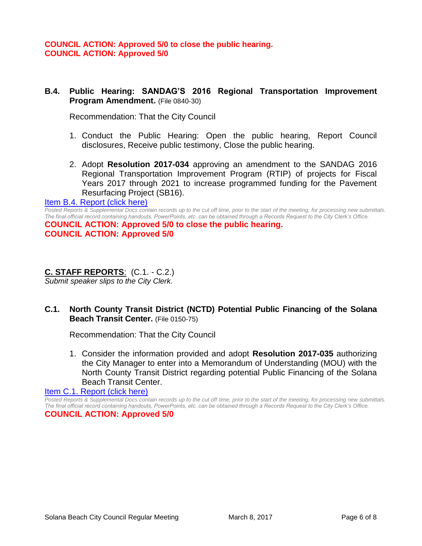#### **B.4. Public Hearing: SANDAG'S 2016 Regional Transportation Improvement Program Amendment.** (File 0840-30)

Recommendation: That the City Council

- 1. Conduct the Public Hearing: Open the public hearing, Report Council disclosures, Receive public testimony, Close the public hearing.
- 2. Adopt **Resolution 2017-034** approving an amendment to the SANDAG 2016 Regional Transportation Improvement Program (RTIP) of projects for Fiscal Years 2017 through 2021 to increase programmed funding for the Pavement Resurfacing Project (SB16).

#### [Item B.4. Report \(click here\)](https://solanabeach.govoffice3.com/vertical/Sites/%7B840804C2-F869-4904-9AE3-720581350CE7%7D/uploads/Item_B.4._Report_(click_here)_3-8-17.PDF)

*Posted Reports & Supplemental Docs contain records up to the cut off time, prior to the start of the meeting, for processing new submittals. The final official record containing handouts, PowerPoints, etc. can be obtained through a Records Request to the City Clerk's Office.*

**COUNCIL ACTION: Approved 5/0 to close the public hearing. COUNCIL ACTION: Approved 5/0** 

#### **C. STAFF REPORTS**: (C.1. - C.2.)

*Submit speaker slips to the City Clerk.*

## **C.1. North County Transit District (NCTD) Potential Public Financing of the Solana Beach Transit Center.** (File 0150-75)

Recommendation: That the City Council

1. Consider the information provided and adopt **Resolution 2017-035** authorizing the City Manager to enter into a Memorandum of Understanding (MOU) with the North County Transit District regarding potential Public Financing of the Solana Beach Transit Center.

[Item C.1. Report \(click here\)](https://solanabeach.govoffice3.com/vertical/Sites/%7B840804C2-F869-4904-9AE3-720581350CE7%7D/uploads/Item_C.1._Report_(click_here)_3-8-2017.PDF) 

*Posted Reports & Supplemental Docs contain records up to the cut off time, prior to the start of the meeting, for processing new submittals. The final official record containing handouts, PowerPoints, etc. can be obtained through a Records Request to the City Clerk's Office.* **COUNCIL ACTION: Approved 5/0**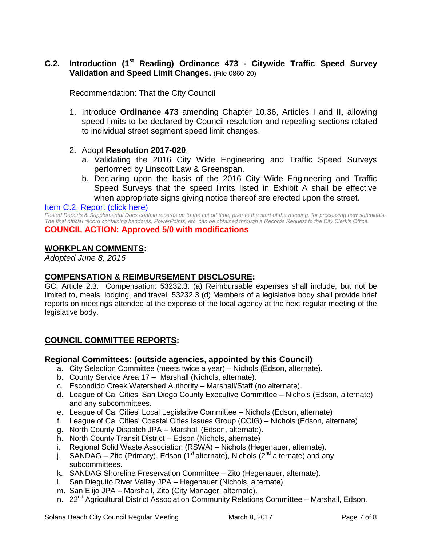## **C.2. Introduction (1st Reading) Ordinance 473 - Citywide Traffic Speed Survey Validation and Speed Limit Changes.** (File 0860-20)

Recommendation: That the City Council

1. Introduce **Ordinance 473** amending Chapter 10.36, Articles I and II, allowing speed limits to be declared by Council resolution and repealing sections related to individual street segment speed limit changes.

#### 2. Adopt **Resolution 2017-020**:

- a. Validating the 2016 City Wide Engineering and Traffic Speed Surveys performed by Linscott Law & Greenspan.
- b. Declaring upon the basis of the 2016 City Wide Engineering and Traffic Speed Surveys that the speed limits listed in Exhibit A shall be effective when appropriate signs giving notice thereof are erected upon the street.

#### [Item C.2. Report \(click here\)](https://solanabeach.govoffice3.com/vertical/Sites/%7B840804C2-F869-4904-9AE3-720581350CE7%7D/uploads/Item_C.2._Report_(click_here)_3-8-17.PDF)

*Posted Reports & Supplemental Docs contain records up to the cut off time, prior to the start of the meeting, for processing new submittals. The final official record containing handouts, PowerPoints, etc. can be obtained through a Records Request to the City Clerk's Office.* **COUNCIL ACTION: Approved 5/0 with modifications**

#### **WORKPLAN COMMENTS:**

*Adopted June 8, 2016*

#### **COMPENSATION & REIMBURSEMENT DISCLOSURE:**

GC: Article 2.3. Compensation: 53232.3. (a) Reimbursable expenses shall include, but not be limited to, meals, lodging, and travel. 53232.3 (d) Members of a legislative body shall provide brief reports on meetings attended at the expense of the local agency at the next regular meeting of the legislative body.

## **COUNCIL COMMITTEE REPORTS:**

#### **Regional Committees: (outside agencies, appointed by this Council)**

- a. City Selection Committee (meets twice a year) Nichols (Edson, alternate).
- b. County Service Area 17 Marshall (Nichols, alternate).
- c. Escondido Creek Watershed Authority Marshall/Staff (no alternate).
- d. League of Ca. Cities' San Diego County Executive Committee Nichols (Edson, alternate) and any subcommittees.
- e. League of Ca. Cities' Local Legislative Committee Nichols (Edson, alternate)
- f. League of Ca. Cities' Coastal Cities Issues Group (CCIG) Nichols (Edson, alternate)
- g. North County Dispatch JPA Marshall (Edson, alternate).
- h. North County Transit District Edson (Nichols, alternate)
- i. Regional Solid Waste Association (RSWA) Nichols (Hegenauer, alternate).
- j. SANDAG Zito (Primary), Edson (1<sup>st</sup> alternate), Nichols ( $2<sup>nd</sup>$  alternate) and any subcommittees.
- k. SANDAG Shoreline Preservation Committee Zito (Hegenauer, alternate).
- l. San Dieguito River Valley JPA Hegenauer (Nichols, alternate).
- m. San Elijo JPA Marshall, Zito (City Manager, alternate).
- n. 22<sup>nd</sup> Agricultural District Association Community Relations Committee Marshall, Edson.